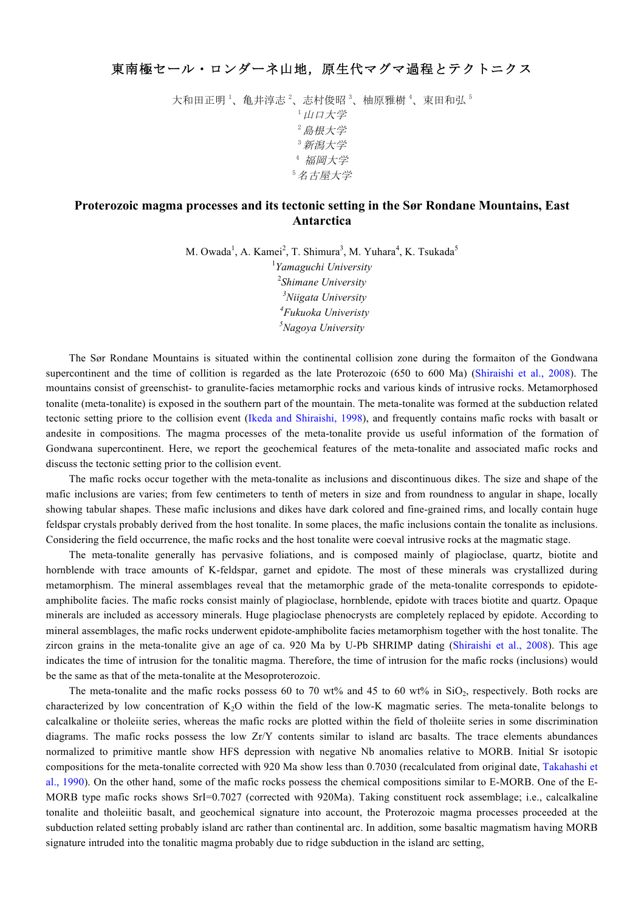大和田正明<sup>1</sup>、亀井淳志<sup>2</sup>、志村俊昭<sup>3</sup>、柚原雅樹<sup>4</sup>、束田和弘<sup>5</sup> <sup>1</sup>山口大学 <sup>2</sup>島根大学 <sup>3</sup>新潟大学 <sup>4</sup> 福岡大学 <sup>5</sup>名古屋大学

## **Proterozoic magma processes and its tectonic setting in the Sør Rondane Mountains, East Antarctica**

M. Owada<sup>1</sup>, A. Kamei<sup>2</sup>, T. Shimura<sup>3</sup>, M. Yuhara<sup>4</sup>, K. Tsukada<sup>5</sup>

 *Yamaguchi University Shimane University Niigata University Fukuoka Univeristy Nagoya University*

The Sør Rondane Mountains is situated within the continental collision zone during the formaiton of the Gondwana supercontinent and the time of collition is regarded as the late Proterozoic (650 to 600 Ma) (Shiraishi et al., 2008). The mountains consist of greenschist- to granulite-facies metamorphic rocks and various kinds of intrusive rocks. Metamorphosed tonalite (meta-tonalite) is exposed in the southern part of the mountain. The meta-tonalite was formed at the subduction related tectonic setting priore to the collision event (Ikeda and Shiraishi, 1998), and frequently contains mafic rocks with basalt or andesite in compositions. The magma processes of the meta-tonalite provide us useful information of the formation of Gondwana supercontinent. Here, we report the geochemical features of the meta-tonalite and associated mafic rocks and discuss the tectonic setting prior to the collision event.

The mafic rocks occur together with the meta-tonalite as inclusions and discontinuous dikes. The size and shape of the mafic inclusions are varies; from few centimeters to tenth of meters in size and from roundness to angular in shape, locally showing tabular shapes. These mafic inclusions and dikes have dark colored and fine-grained rims, and locally contain huge feldspar crystals probably derived from the host tonalite. In some places, the mafic inclusions contain the tonalite as inclusions. Considering the field occurrence, the mafic rocks and the host tonalite were coeval intrusive rocks at the magmatic stage.

The meta-tonalite generally has pervasive foliations, and is composed mainly of plagioclase, quartz, biotite and hornblende with trace amounts of K-feldspar, garnet and epidote. The most of these minerals was crystallized during metamorphism. The mineral assemblages reveal that the metamorphic grade of the meta-tonalite corresponds to epidoteamphibolite facies. The mafic rocks consist mainly of plagioclase, hornblende, epidote with traces biotite and quartz. Opaque minerals are included as accessory minerals. Huge plagioclase phenocrysts are completely replaced by epidote. According to mineral assemblages, the mafic rocks underwent epidote-amphibolite facies metamorphism together with the host tonalite. The zircon grains in the meta-tonalite give an age of ca. 920 Ma by U-Pb SHRIMP dating (Shiraishi et al., 2008). This age indicates the time of intrusion for the tonalitic magma. Therefore, the time of intrusion for the mafic rocks (inclusions) would be the same as that of the meta-tonalite at the Mesoproterozoic.

The meta-tonalite and the mafic rocks possess 60 to 70 wt% and 45 to 60 wt% in  $SiO<sub>2</sub>$ , respectively. Both rocks are characterized by low concentration of  $K<sub>2</sub>O$  within the field of the low-K magmatic series. The meta-tonalite belongs to calcalkaline or tholeiite series, whereas the mafic rocks are plotted within the field of tholeiite series in some discrimination diagrams. The mafic rocks possess the low Zr/Y contents similar to island arc basalts. The trace elements abundances normalized to primitive mantle show HFS depression with negative Nb anomalies relative to MORB. Initial Sr isotopic compositions for the meta-tonalite corrected with 920 Ma show less than 0.7030 (recalculated from original date, Takahashi et al., 1990). On the other hand, some of the mafic rocks possess the chemical compositions similar to E-MORB. One of the E-MORB type mafic rocks shows SrI=0.7027 (corrected with 920Ma). Taking constituent rock assemblage; i.e., calcalkaline tonalite and tholeiitic basalt, and geochemical signature into account, the Proterozoic magma processes proceeded at the subduction related setting probably island arc rather than continental arc. In addition, some basaltic magmatism having MORB signature intruded into the tonalitic magma probably due to ridge subduction in the island arc setting,